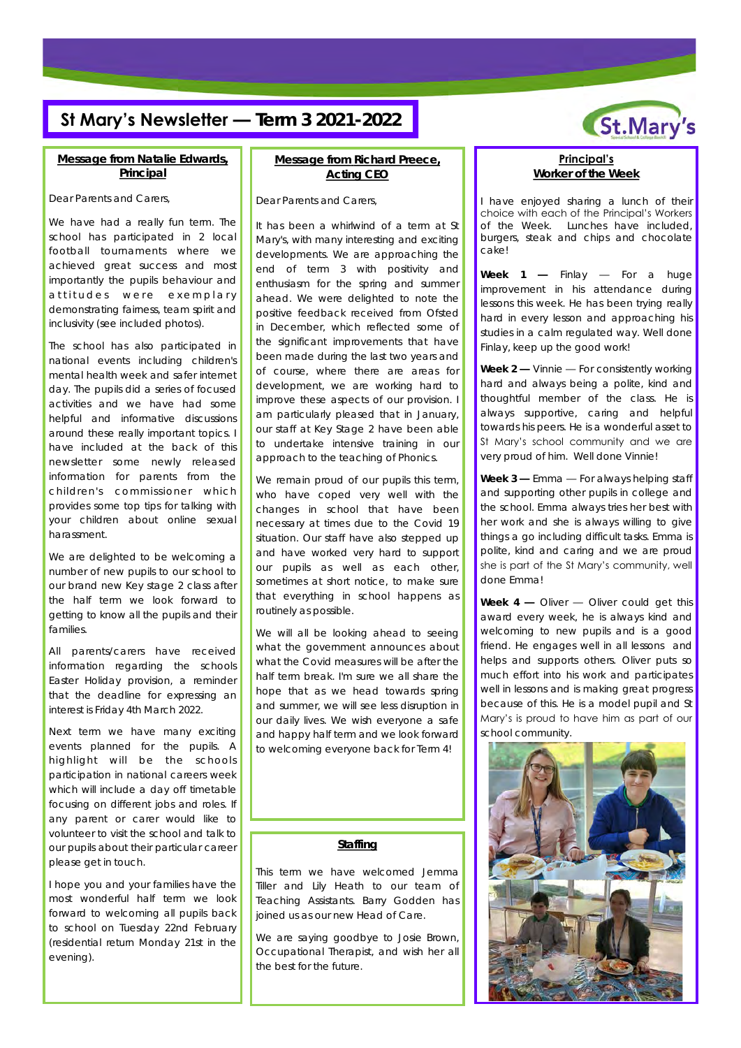### **St Mary's Newsletter — Term 3 2021-2022**



Dear Parents and Carers,

We have had a really fun term. The school has participated in 2 local football tournaments where we achieved great success and most importantly the pupils behaviour and attitudes were exemplary demonstrating fairness, team spirit and inclusivity (see included photos).

The school has also participated in national events including children's mental health week and safer internet day. The pupils did a series of focused activities and we have had some helpful and informative discussions around these really important topics. I have included at the back of this newsletter some newly released information for parents from the children's commissioner which provides some top tips for talking with your children about online sexual harassment.

We are delighted to be welcoming a number of new pupils to our school to our brand new Key stage 2 class after the half term we look forward to getting to know all the pupils and their families.

All parents/carers have received information regarding the schools Easter Holiday provision, a reminder that the deadline for expressing an interest is Friday 4th March 2022.

Next term we have many exciting events planned for the pupils. A highlight will be the schools participation in national careers week which will include a day off timetable focusing on different jobs and roles. If any parent or carer would like to volunteer to visit the school and talk to our pupils about their particular career please get in touch.

I hope you and your families have the most wonderful half term we look forward to welcoming all pupils back to school on Tuesday 22nd February (residential return Monday 21st in the evening).

#### **Message from Richard Preece, Acting CEO**

Dear Parents and Carers,

It has been a whirlwind of a term at St Mary's, with many interesting and exciting developments. We are approaching the end of term 3 with positivity and enthusiasm for the spring and summer ahead. We were delighted to note the positive feedback received from Ofsted in December, which reflected some of the significant improvements that have been made during the last two years and of course, where there are areas for development, we are working hard to improve these aspects of our provision. I am particularly pleased that in January, our staff at Key Stage 2 have been able to undertake intensive training in our approach to the teaching of Phonics.

We remain proud of our pupils this term, who have coped very well with the changes in school that have been necessary at times due to the Covid 19 situation. Our staff have also stepped up and have worked very hard to support our pupils as well as each other, sometimes at short notice, to make sure that everything in school happens as routinely as possible.

We will all be looking ahead to seeing what the government announces about what the Covid measures will be after the half term break. I'm sure we all share the hope that as we head towards spring and summer, we will see less disruption in our daily lives. We wish everyone a safe and happy half term and we look forward to welcoming everyone back for Term 4!

#### **Staffing**

This term we have welcomed Jemma Tiller and Lily Heath to our team of Teaching Assistants. Barry Godden has joined us as our new Head of Care.

We are saying goodbye to Josie Brown, Occupational Therapist, and wish her all the best for the future.



**Principal's Worker of the Week**

I have enjoyed sharing a lunch of their choice with each of the Principal's Workers of the Week. Lunches have included, burgers, steak and chips and chocolate cake!

**Week 1 —** Finlay — For a huge improvement in his attendance during lessons this week. He has been trying really hard in every lesson and approaching his studies in a calm regulated way. Well done Finlay, keep up the good work!

**Week 2 —** Vinnie — For consistently working hard and always being a polite, kind and thoughtful member of the class. He is always supportive, caring and helpful towards his peers. He is a wonderful asset to St Mary's school community and we are very proud of him. Well done Vinnie!

**Week 3 —** Emma — For always helping staff and supporting other pupils in college and the school. Emma always tries her best with her work and she is always willing to give things a go including difficult tasks. Emma is polite, kind and caring and we are proud she is part of the St Mary's community, well done Emma!

**Week 4 —** Oliver — Oliver could get this award every week, he is always kind and welcoming to new pupils and is a good friend. He engages well in all lessons and helps and supports others. Oliver puts so much effort into his work and participates well in lessons and is making great progress because of this. He is a model pupil and St Mary's is proud to have him as part of our school community.

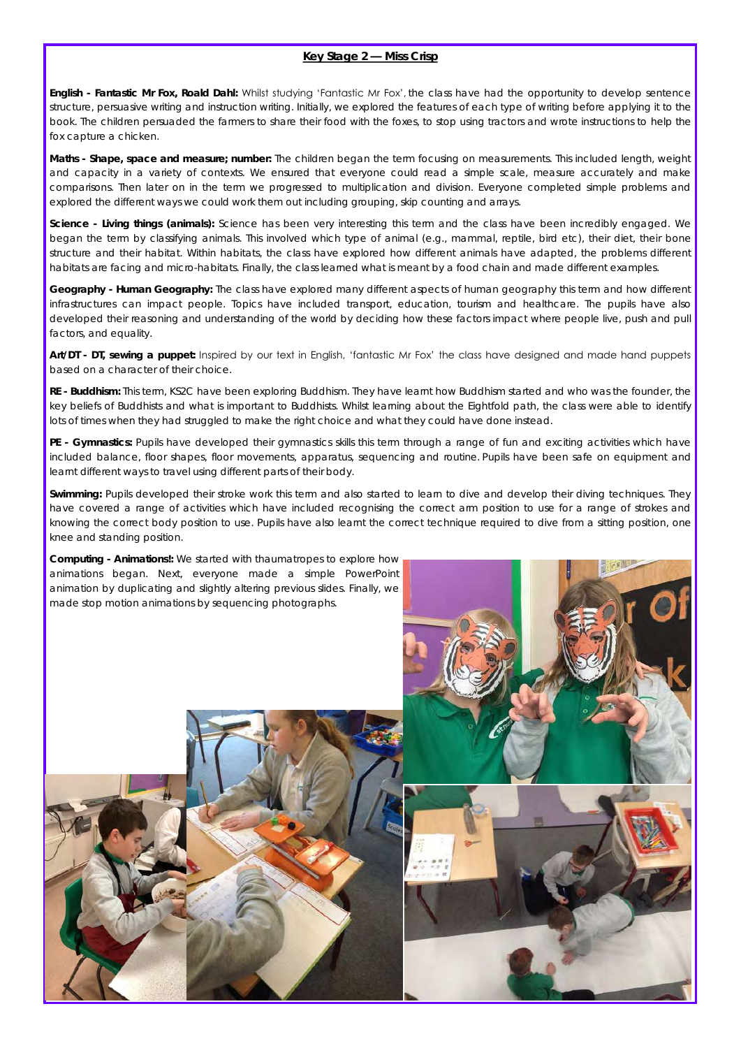#### **Key Stage 2 — Miss Crisp**

**English - Fantastic Mr Fox, Roald Dahl:** Whilst studying 'Fantastic Mr Fox', the class have had the opportunity to develop sentence structure, persuasive writing and instruction writing. Initially, we explored the features of each type of writing before applying it to the book. The children persuaded the farmers to share their food with the foxes, to stop using tractors and wrote instructions to help the fox capture a chicken.

**Maths - Shape, space and measure; number:** The children began the term focusing on measurements. This included length, weight and capacity in a variety of contexts. We ensured that everyone could read a simple scale, measure accurately and make comparisons. Then later on in the term we progressed to multiplication and division. Everyone completed simple problems and explored the different ways we could work them out including grouping, skip counting and arrays.

**Science - Living things (animals):** Science has been very interesting this term and the class have been incredibly engaged. We began the term by classifying animals. This involved which type of animal (e.g., mammal, reptile, bird etc), their diet, their bone structure and their habitat. Within habitats, the class have explored how different animals have adapted, the problems different habitats are facing and micro-habitats. Finally, the class learned what is meant by a food chain and made different examples.

**Geography - Human Geography:** The class have explored many different aspects of human geography this term and how different infrastructures can impact people. Topics have included transport, education, tourism and healthcare. The pupils have also developed their reasoning and understanding of the world by deciding how these factors impact where people live, push and pull factors, and equality.

**Art/DT - DT, sewing a puppet:** Inspired by our text in English, 'fantastic Mr Fox' the class have designed and made hand puppets based on a character of their choice.

**RE - Buddhism:** This term, KS2C have been exploring Buddhism. They have learnt how Buddhism started and who was the founder, the key beliefs of Buddhists and what is important to Buddhists. Whilst learning about the Eightfold path, the class were able to identify lots of times when they had struggled to make the right choice and what they could have done instead.

**PE - Gymnastics:** Pupils have developed their gymnastics skills this term through a range of fun and exciting activities which have included balance, floor shapes, floor movements, apparatus, sequencing and routine. Pupils have been safe on equipment and learnt different ways to travel using different parts of their body.

**Swimming:** Pupils developed their stroke work this term and also started to learn to dive and develop their diving techniques. They have covered a range of activities which have included recognising the correct arm position to use for a range of strokes and knowing the correct body position to use. Pupils have also learnt the correct technique required to dive from a sitting position, one knee and standing position.

**Computing - Animations!:** We started with thaumatropes to explore how animations began. Next, everyone made a simple PowerPoint animation by duplicating and slightly altering previous slides. Finally, we made stop motion animations by sequencing photographs.



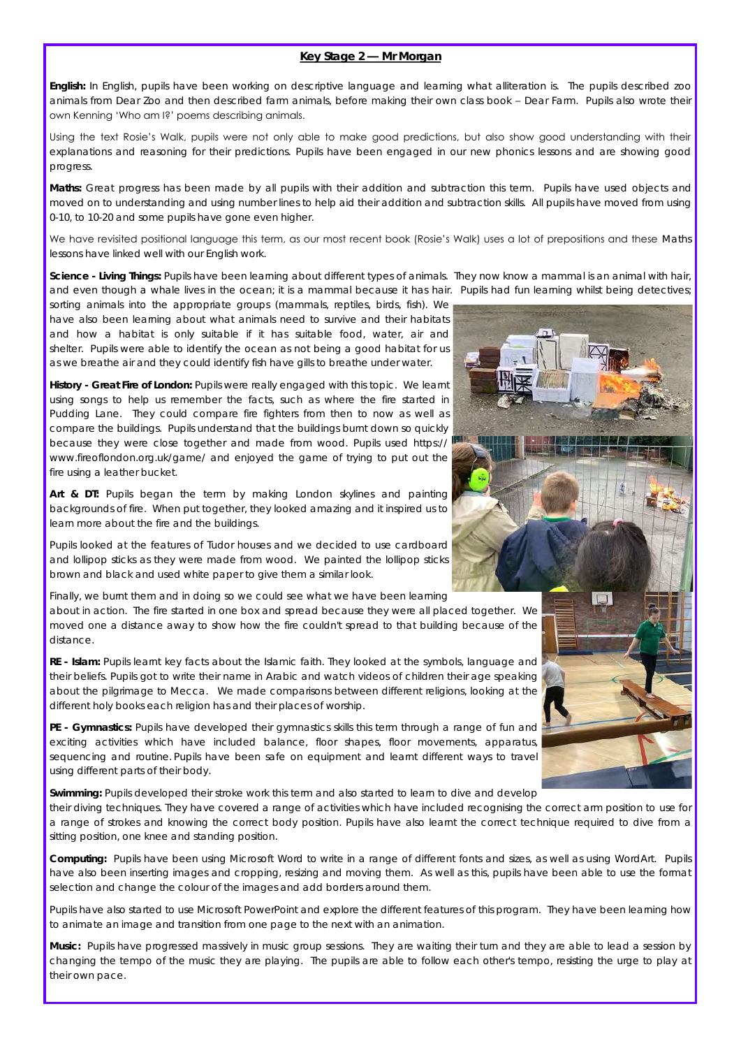#### **Key Stage 2 — Mr Morgan**

**English:** In English, pupils have been working on descriptive language and learning what alliteration is. The pupils described zoo animals from Dear Zoo and then described farm animals, before making their own class book – Dear Farm. Pupils also wrote their own Kenning 'Who am I?' poems describing animals.

Using the text Rosie's Walk, pupils were not only able to make good predictions, but also show good understanding with their explanations and reasoning for their predictions. Pupils have been engaged in our new phonics lessons and are showing good progress.

**Maths:** Great progress has been made by all pupils with their addition and subtraction this term. Pupils have used objects and moved on to understanding and using number lines to help aid their addition and subtraction skills. All pupils have moved from using 0-10, to 10-20 and some pupils have gone even higher.

We have revisited positional language this term, as our most recent book (Rosie's Walk) uses a lot of prepositions and these Maths lessons have linked well with our English work.

**Science - Living Things:** Pupils have been learning about different types of animals. They now know a mammal is an animal with hair, and even though a whale lives in the ocean; it is a mammal because it has hair. Pupils had fun learning whilst being detectives;

sorting animals into the appropriate groups (mammals, reptiles, birds, fish). We have also been learning about what animals need to survive and their habitats and how a habitat is only suitable if it has suitable food, water, air and shelter. Pupils were able to identify the ocean as not being a good habitat for us as we breathe air and they could identify fish have gills to breathe under water.

**History - Great Fire of London:** Pupils were really engaged with this topic. We learnt using songs to help us remember the facts, such as where the fire started in Pudding Lane. They could compare fire fighters from then to now as well as compare the buildings. Pupils understand that the buildings burnt down so quickly because they were close together and made from wood. Pupils used https:// www.fireoflondon.org.uk/game/ and enjoyed the game of trying to put out the fire using a leather bucket.

**Art & DT:** Pupils began the term by making London skylines and painting backgrounds of fire. When put together, they looked amazing and it inspired us to learn more about the fire and the buildings.

Pupils looked at the features of Tudor houses and we decided to use cardboard and lollipop sticks as they were made from wood. We painted the lollipop sticks brown and black and used white paper to give them a similar look.

Finally, we burnt them and in doing so we could see what we have been learning

about in action. The fire started in one box and spread because they were all placed together. We moved one a distance away to show how the fire couldn't spread to that building because of the distance.

**RE - Islam:** Pupils learnt key facts about the Islamic faith. They looked at the symbols, language and their beliefs. Pupils got to write their name in Arabic and watch videos of children their age speaking about the pilgrimage to Mecca. We made comparisons between different religions, looking at the different holy books each religion has and their places of worship.

**PE - Gymnastics:** Pupils have developed their gymnastics skills this term through a range of fun and exciting activities which have included balance, floor shapes, floor movements, apparatus, sequencing and routine. Pupils have been safe on equipment and learnt different ways to travel using different parts of their body.

**Swimming:** Pupils developed their stroke work this term and also started to learn to dive and develop

their diving techniques. They have covered a range of activities which have included recognising the correct arm position to use for a range of strokes and knowing the correct body position. Pupils have also learnt the correct technique required to dive from a sitting position, one knee and standing position.

**Computing:** Pupils have been using Microsoft Word to write in a range of different fonts and sizes, as well as using WordArt. Pupils have also been inserting images and cropping, resizing and moving them. As well as this, pupils have been able to use the format selection and change the colour of the images and add borders around them.

Pupils have also started to use Microsoft PowerPoint and explore the different features of this program. They have been learning how to animate an image and transition from one page to the next with an animation.

**Music:** Pupils have progressed massively in music group sessions. They are waiting their turn and they are able to lead a session by changing the tempo of the music they are playing. The pupils are able to follow each other's tempo, resisting the urge to play at their own pace.

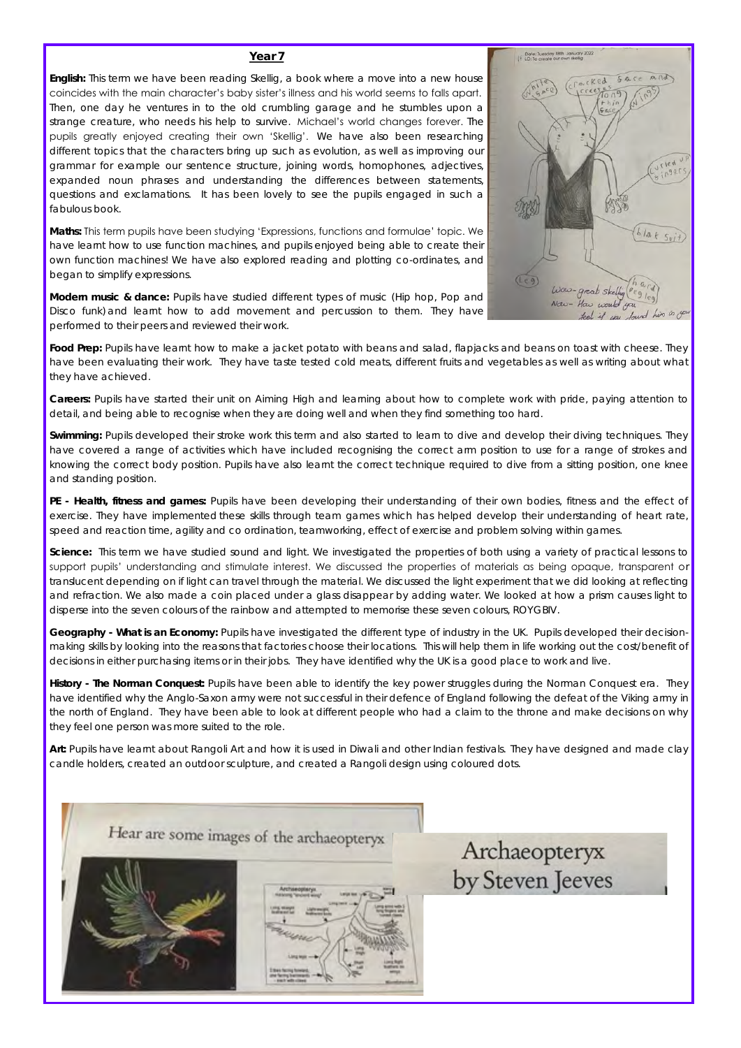**English:** This term we have been reading Skellig, a book where a move into a new house coincides with the main character's baby sister's illness and his world seems to falls apart. Then, one day he ventures in to the old crumbling garage and he stumbles upon a strange creature, who needs his help to survive. Michael's world changes forever.  The pupils greatly enjoyed creating their own 'Skellig'. We have also been researching different topics that the characters bring up such as evolution, as well as improving our grammar for example our sentence structure, joining words, homophones, adjectives, expanded noun phrases and understanding the differences between statements, questions and exclamations. It has been lovely to see the pupils engaged in such a fabulous book.

**Maths:** This term pupils have been studying 'Expressions, functions and formulae' topic. We have learnt how to use function machines, and pupils enjoyed being able to create their own function machines! We have also explored reading and plotting co-ordinates, and began to simplify expressions.

**Modern music & dance:** Pupils have studied different types of music (Hip hop, Pop and Disco funk) and learnt how to add movement and percussion to them. They have performed to their peers and reviewed their work.



**Food Prep:** Pupils have learnt how to make a jacket potato with beans and salad, flapjacks and beans on toast with cheese. They have been evaluating their work. They have taste tested cold meats, different fruits and vegetables as well as writing about what they have achieved.

**Careers:** Pupils have started their unit on Aiming High and learning about how to complete work with pride, paying attention to detail, and being able to recognise when they are doing well and when they find something too hard.

**Swimming:** Pupils developed their stroke work this term and also started to learn to dive and develop their diving techniques. They have covered a range of activities which have included recognising the correct arm position to use for a range of strokes and knowing the correct body position. Pupils have also learnt the correct technique required to dive from a sitting position, one knee and standing position.

**PE - Health, fitness and games:** Pupils have been developing their understanding of their own bodies, fitness and the effect of exercise. They have implemented these skills through team games which has helped develop their understanding of heart rate, speed and reaction time, agility and co ordination, teamworking, effect of exercise and problem solving within games.

**Science:** This term we have studied sound and light. We investigated the properties of both using a variety of practical lessons to support pupils' understanding and stimulate interest. We discussed the properties of materials as being opaque, transparent or translucent depending on if light can travel through the material. We discussed the light experiment that we did looking at reflecting and refraction. We also made a coin placed under a glass disappear by adding water. We looked at how a prism causes light to disperse into the seven colours of the rainbow and attempted to memorise these seven colours, ROYGBIV.

**Geography - What is an Economy:** Pupils have investigated the different type of industry in the UK. Pupils developed their decisionmaking skills by looking into the reasons that factories choose their locations. This will help them in life working out the cost/benefit of decisions in either purchasing items or in their jobs. They have identified why the UK is a good place to work and live.

**History - The Norman Conquest:** Pupils have been able to identify the key power struggles during the Norman Conquest era. They have identified why the Anglo-Saxon army were not successful in their defence of England following the defeat of the Viking army in the north of England. They have been able to look at different people who had a claim to the throne and make decisions on why they feel one person was more suited to the role.

**Art:** Pupils have learnt about Rangoli Art and how it is used in Diwali and other Indian festivals. They have designed and made clay candle holders, created an outdoor sculpture, and created a Rangoli design using coloured dots.





Archaeopteryx by Steven Jeeves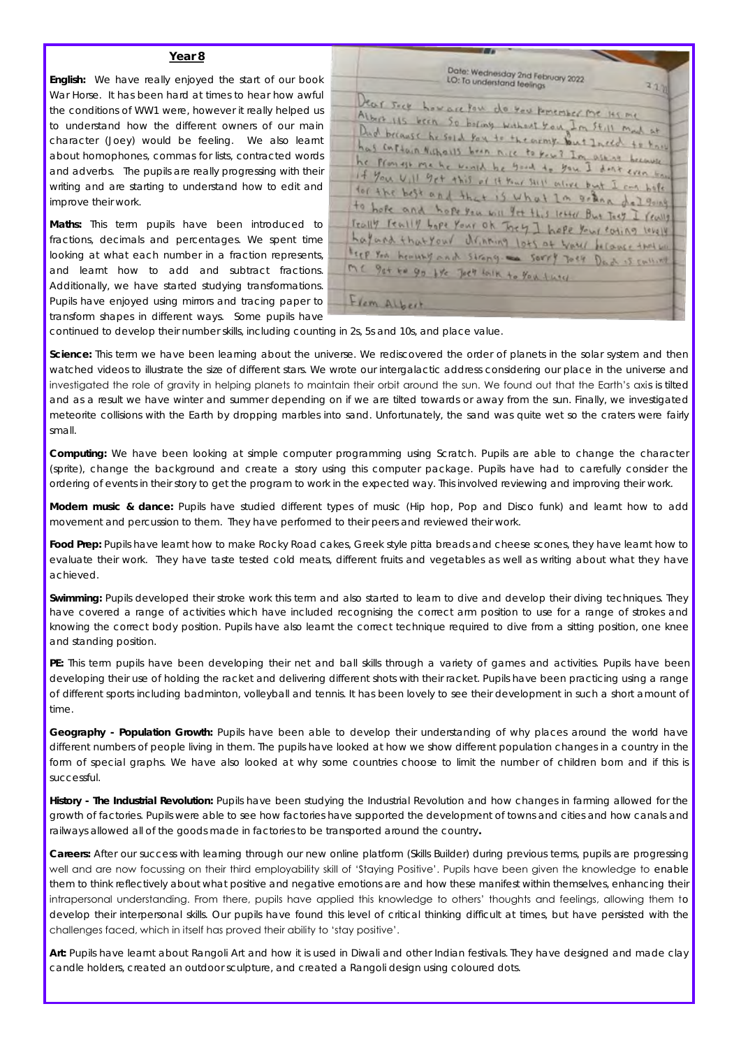**English:** We have really enjoyed the start of our book War Horse. It has been hard at times to hear how awful the conditions of WW1 were, however it really helped us to understand how the different owners of our main character (Joey) would be feeling. We also learnt about homophones, commas for lists, contracted words and adverbs. The pupils are really progressing with their writing and are starting to understand how to edit and improve their work.

**Maths:** This term pupils have been introduced to fractions, decimals and percentages. We spent time looking at what each number in a fraction represents, and learnt how to add and subtract fractions. Additionally, we have started studying transformations. Pupils have enjoyed using mirrors and tracing paper to transform shapes in different ways. Some pupils have

| Date: Wednesday 2nd February 2022.<br>LO: To understand feelings<br>220                                                                                                       |
|-------------------------------------------------------------------------------------------------------------------------------------------------------------------------------|
| Vear sect how are four do you knember me iss me                                                                                                                               |
| Albert 115 been So boring without You In Still May at<br>Dad breause he sold you to the army. But Ineed to they<br>has contrain Nichards been nice to keep I'm asked because. |
| he promote me he would be good to you. I don't even trace<br>If You U, Il 9et this of it Your Still enlies but I am bell                                                      |
| for the best and that is what In order del going.<br>to hope and hope you will get this letter But Toey I fewly                                                               |
| Trally Peally Lope Your of They I hape Your coling lovely<br>hayand thatyour drinning lots of would become that we                                                            |
| teep You howevery and strong. and sorry Joer Dad is cultured<br>MC 9st to 90 by Ject folk to You fuse                                                                         |
| Flom Albert                                                                                                                                                                   |

continued to develop their number skills, including counting in 2s, 5s and 10s, and place value.

**Science:** This term we have been learning about the universe. We rediscovered the order of planets in the solar system and then watched videos to illustrate the size of different stars. We wrote our intergalactic address considering our place in the universe and investigated the role of gravity in helping planets to maintain their orbit around the sun. We found out that the Earth's axis is tilted and as a result we have winter and summer depending on if we are tilted towards or away from the sun. Finally, we investigated meteorite collisions with the Earth by dropping marbles into sand. Unfortunately, the sand was quite wet so the craters were fairly small.

**Computing:** We have been looking at simple computer programming using Scratch. Pupils are able to change the character (sprite), change the background and create a story using this computer package. Pupils have had to carefully consider the ordering of events in their story to get the program to work in the expected way. This involved reviewing and improving their work.

**Modern music & dance:** Pupils have studied different types of music (Hip hop, Pop and Disco funk) and learnt how to add movement and percussion to them. They have performed to their peers and reviewed their work.

**Food Prep:** Pupils have learnt how to make Rocky Road cakes, Greek style pitta breads and cheese scones, they have learnt how to evaluate their work. They have taste tested cold meats, different fruits and vegetables as well as writing about what they have achieved.

**Swimming:** Pupils developed their stroke work this term and also started to learn to dive and develop their diving techniques. They have covered a range of activities which have included recognising the correct arm position to use for a range of strokes and knowing the correct body position. Pupils have also learnt the correct technique required to dive from a sitting position, one knee and standing position.

**PE:** This term pupils have been developing their net and ball skills through a variety of games and activities. Pupils have been developing their use of holding the racket and delivering different shots with their racket. Pupils have been practicing using a range of different sports including badminton, volleyball and tennis. It has been lovely to see their development in such a short amount of time.

**Geography - Population Growth:** Pupils have been able to develop their understanding of why places around the world have different numbers of people living in them. The pupils have looked at how we show different population changes in a country in the form of special graphs. We have also looked at why some countries choose to limit the number of children born and if this is successful.

**History - The Industrial Revolution:** Pupils have been studying the Industrial Revolution and how changes in farming allowed for the growth of factories. Pupils were able to see how factories have supported the development of towns and cities and how canals and railways allowed all of the goods made in factories to be transported around the country**.**

**Careers:** After our success with learning through our new online platform (Skills Builder) during previous terms, pupils are progressing well and are now focussing on their third employability skill of 'Staying Positive'. Pupils have been given the knowledge to enable them to think reflectively about what positive and negative emotions are and how these manifest within themselves, enhancing their intrapersonal understanding. From there, pupils have applied this knowledge to others' thoughts and feelings, allowing them to develop their interpersonal skills. Our pupils have found this level of critical thinking difficult at times, but have persisted with the challenges faced, which in itself has proved their ability to 'stay positive'.

**Art:** Pupils have learnt about Rangoli Art and how it is used in Diwali and other Indian festivals. They have designed and made clay candle holders, created an outdoor sculpture, and created a Rangoli design using coloured dots.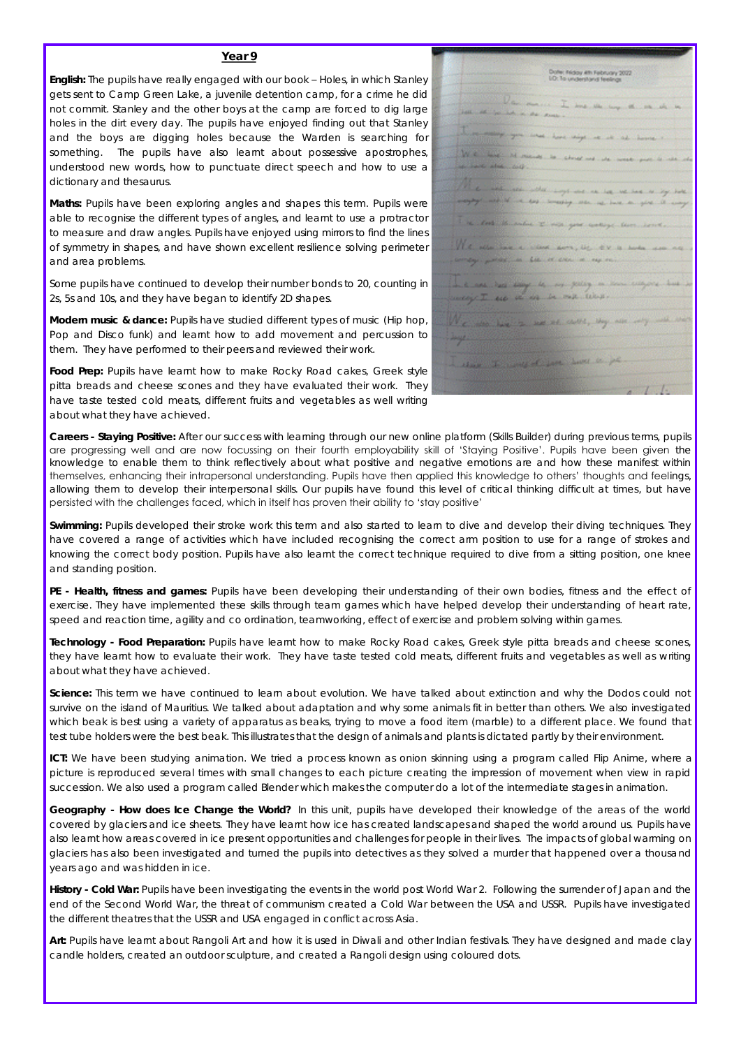**English:** The pupils have really engaged with our book – Holes, in which Stanley gets sent to Camp Green Lake, a juvenile detention camp, for a crime he did not commit. Stanley and the other boys at the camp are forced to dig large holes in the dirt every day. The pupils have enjoyed finding out that Stanley and the boys are digging holes because the Warden is searching for something. The pupils have also learnt about possessive apostrophes, understood new words, how to punctuate direct speech and how to use a dictionary and thesaurus.

**Maths:** Pupils have been exploring angles and shapes this term. Pupils were able to recognise the different types of angles, and learnt to use a protractor to measure and draw angles. Pupils have enjoyed using mirrors to find the lines of symmetry in shapes, and have shown excellent resilience solving perimeter and area problems.

Some pupils have continued to develop their number bonds to 20, counting in 2s, 5s and 10s, and they have began to identify 2D shapes.

**Modern music & dance:** Pupils have studied different types of music (Hip hop, Pop and Disco funk) and learnt how to add movement and percussion to them. They have performed to their peers and reviewed their work.

**Food Prep:** Pupils have learnt how to make Rocky Road cakes, Greek style pitta breads and cheese scones and they have evaluated their work. They have taste tested cold meats, different fruits and vegetables as well writing about what they have achieved.

| Doller, Rédoy Ath February 2022                                                                                                                                                                                                        |
|----------------------------------------------------------------------------------------------------------------------------------------------------------------------------------------------------------------------------------------|
| LO: To understand feelings                                                                                                                                                                                                             |
|                                                                                                                                                                                                                                        |
|                                                                                                                                                                                                                                        |
|                                                                                                                                                                                                                                        |
|                                                                                                                                                                                                                                        |
| Jan mars I am de log et en de le les<br>Internet in de mars                                                                                                                                                                            |
| $\Gamma$ , and $\Gamma$ and the depth of the long $\sim$ .                                                                                                                                                                             |
|                                                                                                                                                                                                                                        |
|                                                                                                                                                                                                                                        |
|                                                                                                                                                                                                                                        |
|                                                                                                                                                                                                                                        |
| $\frac{1}{2}f_1\in\mathbb{C}$ , we can be compatible to a strong and the monotonical control and a state of the control of the control of the control of the control of the control of the control of the control of the control of th |
| The construction of the surprises we have the set of the set of the set of the set of the set of the set of the set of the set of the set of the set of the set of the set of the set of the set of the set of the set of the          |
|                                                                                                                                                                                                                                        |
|                                                                                                                                                                                                                                        |
|                                                                                                                                                                                                                                        |
| I a loss throube those you welling them continued                                                                                                                                                                                      |
|                                                                                                                                                                                                                                        |
|                                                                                                                                                                                                                                        |
|                                                                                                                                                                                                                                        |
| <u>We also begin a class down, let the a books was new :</u><br>comby provincial data of class is vapore.                                                                                                                              |
|                                                                                                                                                                                                                                        |
|                                                                                                                                                                                                                                        |
|                                                                                                                                                                                                                                        |
|                                                                                                                                                                                                                                        |
| de la considerativa de la consecución de la consecución de la consecución de la consecución de la consecución de la consecución de la consecución de la consecución de la consecución de la consecución de la consecución de l         |
|                                                                                                                                                                                                                                        |
| We are her a me as detty by an 19 and the                                                                                                                                                                                              |
|                                                                                                                                                                                                                                        |
|                                                                                                                                                                                                                                        |
|                                                                                                                                                                                                                                        |
| - these is now of your hand to go                                                                                                                                                                                                      |
|                                                                                                                                                                                                                                        |
|                                                                                                                                                                                                                                        |
|                                                                                                                                                                                                                                        |
| $\frac{1}{2}$                                                                                                                                                                                                                          |

**Careers - Staying Positive:** After our success with learning through our new online platform (Skills Builder) during previous terms, pupils are progressing well and are now focussing on their fourth employability skill of 'Staying Positive'. Pupils have been given the knowledge to enable them to think reflectively about what positive and negative emotions are and how these manifest within themselves, enhancing their intrapersonal understanding. Pupils have then applied this knowledge to others' thoughts and feelings, allowing them to develop their interpersonal skills. Our pupils have found this level of critical thinking difficult at times, but have persisted with the challenges faced, which in itself has proven their ability to 'stay positive'

**Swimming:** Pupils developed their stroke work this term and also started to learn to dive and develop their diving techniques. They have covered a range of activities which have included recognising the correct arm position to use for a range of strokes and knowing the correct body position. Pupils have also learnt the correct technique required to dive from a sitting position, one knee and standing position.

**PE - Health, fitness and games:** Pupils have been developing their understanding of their own bodies, fitness and the effect of exercise. They have implemented these skills through team games which have helped develop their understanding of heart rate, speed and reaction time, agility and co ordination, teamworking, effect of exercise and problem solving within games.

**Technology - Food Preparation:** Pupils have learnt how to make Rocky Road cakes, Greek style pitta breads and cheese scones, they have learnt how to evaluate their work. They have taste tested cold meats, different fruits and vegetables as well as writing about what they have achieved.

**Science:** This term we have continued to learn about evolution. We have talked about extinction and why the Dodos could not survive on the island of Mauritius. We talked about adaptation and why some animals fit in better than others. We also investigated which beak is best using a variety of apparatus as beaks, trying to move a food item (marble) to a different place. We found that test tube holders were the best beak. This illustrates that the design of animals and plants is dictated partly by their environment.

**ICT:** We have been studying animation. We tried a process known as onion skinning using a program called Flip Anime, where a picture is reproduced several times with small changes to each picture creating the impression of movement when view in rapid succession. We also used a program called Blender which makes the computer do a lot of the intermediate stages in animation.

**Geography - How does Ice Change the World?** In this unit, pupils have developed their knowledge of the areas of the world covered by glaciers and ice sheets.  They have learnt how ice has created landscapes and shaped the world around us.  Pupils have also learnt how areas covered in ice present opportunities and challenges for people in their lives. The impacts of global warming on glaciers has also been investigated and turned the pupils into detectives as they solved a murder that happened over a thousand years ago and was hidden in ice.

**History - Cold War:** Pupils have been investigating the events in the world post World War 2. Following the surrender of Japan and the end of the Second World War, the threat of communism created a Cold War between the USA and USSR. Pupils have investigated the different theatres that the USSR and USA engaged in conflict across Asia.

**Art:** Pupils have learnt about Rangoli Art and how it is used in Diwali and other Indian festivals. They have designed and made clay candle holders, created an outdoor sculpture, and created a Rangoli design using coloured dots.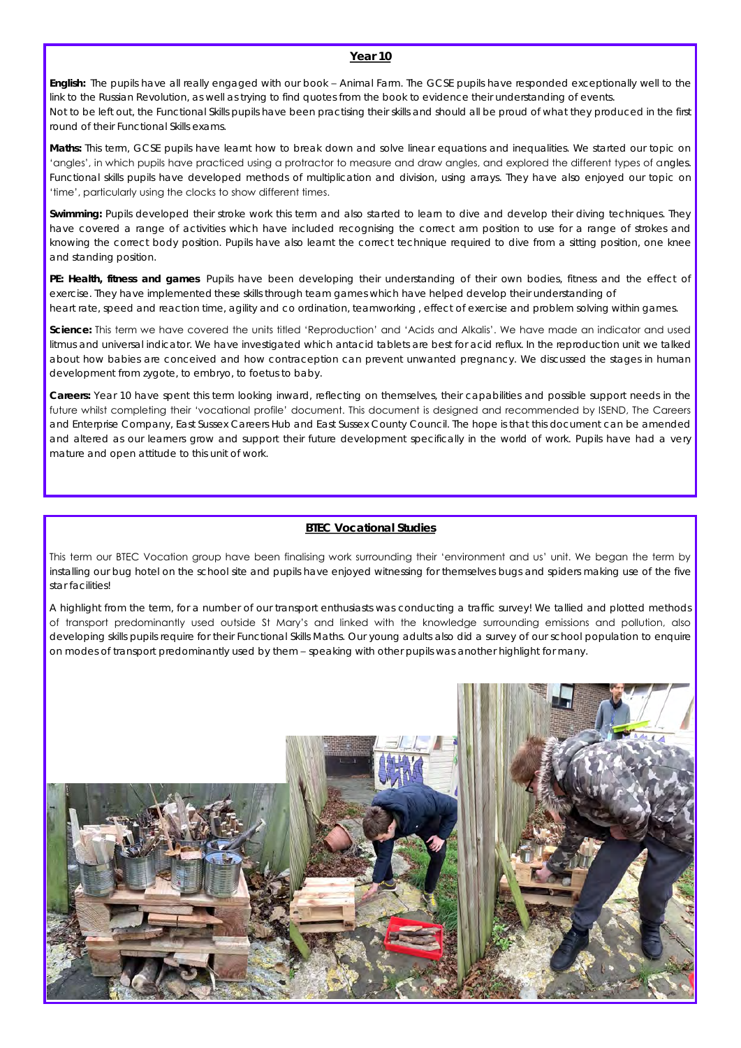**English:** The pupils have all really engaged with our book – Animal Farm. The GCSE pupils have responded exceptionally well to the link to the Russian Revolution, as well as trying to find quotes from the book to evidence their understanding of events. Not to be left out, the Functional Skills pupils have been practising their skills and should all be proud of what they produced in the first round of their Functional Skills exams.

**Maths:** This term, GCSE pupils have learnt how to break down and solve linear equations and inequalities. We started our topic on 'angles', in which pupils have practiced using a protractor to measure and draw angles, and explored the different types of angles. Functional skills pupils have developed methods of multiplication and division, using arrays. They have also enjoyed our topic on 'time', particularly using the clocks to show different times.

**Swimming:** Pupils developed their stroke work this term and also started to learn to dive and develop their diving techniques. They have covered a range of activities which have included recognising the correct arm position to use for a range of strokes and knowing the correct body position. Pupils have also learnt the correct technique required to dive from a sitting position, one knee and standing position.

**PE: Health, fitness and games** Pupils have been developing their understanding of their own bodies, fitness and the effect of exercise. They have implemented these skills through team games which have helped develop their understanding of heart rate, speed and reaction time, agility and co ordination, teamworking , effect of exercise and problem solving within games.

**Science:** This term we have covered the units titled 'Reproduction' and 'Acids and Alkalis'. We have made an indicator and used litmus and universal indicator. We have investigated which antacid tablets are best for acid reflux. In the reproduction unit we talked about how babies are conceived and how contraception can prevent unwanted pregnancy. We discussed the stages in human development from zygote, to embryo, to foetus to baby.

**Careers:** Year 10 have spent this term looking inward, reflecting on themselves, their capabilities and possible support needs in the future whilst completing their 'vocational profile' document. This document is designed and recommended by ISEND, The Careers and Enterprise Company, East Sussex Careers Hub and East Sussex County Council. The hope is that this document can be amended and altered as our learners grow and support their future development specifically in the world of work. Pupils have had a very mature and open attitude to this unit of work.

#### **BTEC Vocational Studies**

This term our BTEC Vocation group have been finalising work surrounding their 'environment and us' unit. We began the term by installing our bug hotel on the school site and pupils have enjoyed witnessing for themselves bugs and spiders making use of the five star facilities!

A highlight from the term, for a number of our transport enthusiasts was conducting a traffic survey! We tallied and plotted methods of transport predominantly used outside St Mary's and linked with the knowledge surrounding emissions and pollution, also developing skills pupils require for their Functional Skills Maths. Our young adults also did a survey of our school population to enquire on modes of transport predominantly used by them – speaking with other pupils was another highlight for many.

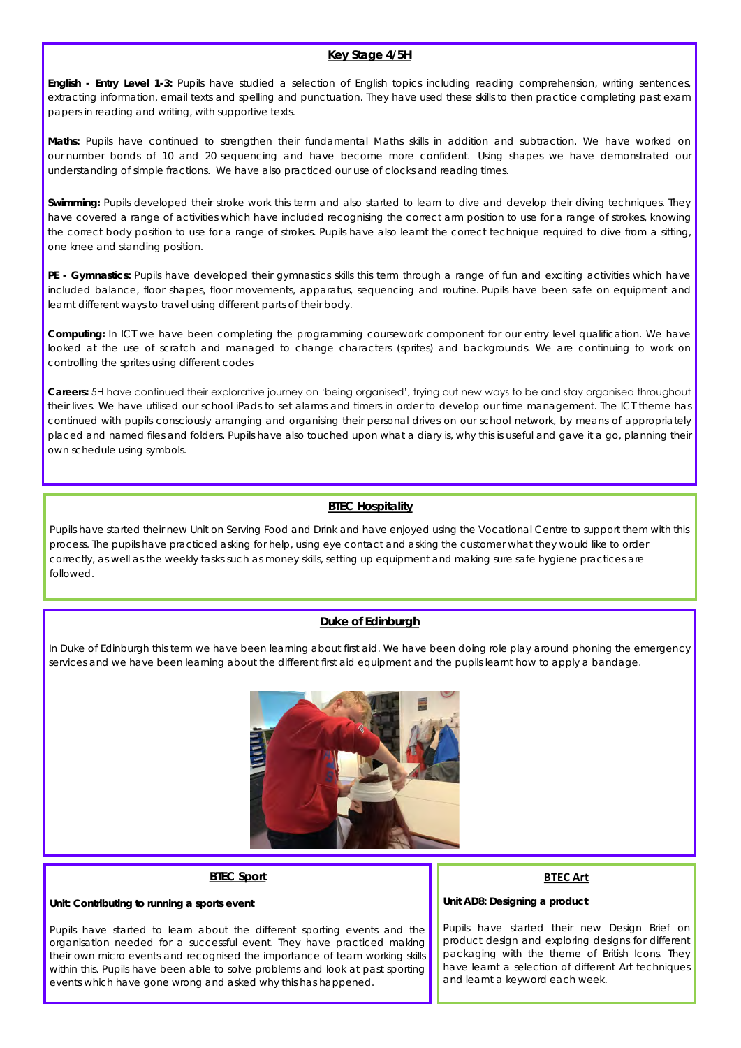#### **Key Stage 4/5H**

**English - Entry Level 1-3:** Pupils have studied a selection of English topics including reading comprehension, writing sentences, extracting information, email texts and spelling and punctuation. They have used these skills to then practice completing past exam papers in reading and writing, with supportive texts.

**Maths:** Pupils have continued to strengthen their fundamental Maths skills in addition and subtraction. We have worked on our number bonds of 10 and 20 sequencing and have become more confident. Using shapes we have demonstrated our understanding of simple fractions. We have also practiced our use of clocks and reading times.

**Swimming:** Pupils developed their stroke work this term and also started to learn to dive and develop their diving techniques. They have covered a range of activities which have included recognising the correct arm position to use for a range of strokes, knowing the correct body position to use for a range of strokes. Pupils have also learnt the correct technique required to dive from a sitting, one knee and standing position.

**PE - Gymnastics:** Pupils have developed their gymnastics skills this term through a range of fun and exciting activities which have included balance, floor shapes, floor movements, apparatus, sequencing and routine. Pupils have been safe on equipment and learnt different ways to travel using different parts of their body.

**Computing:** In ICT we have been completing the programming coursework component for our entry level qualification. We have looked at the use of scratch and managed to change characters (sprites) and backgrounds. We are continuing to work on controlling the sprites using different codes

**Careers:** 5H have continued their explorative journey on 'being organised', trying out new ways to be and stay organised throughout their lives. We have utilised our school iPads to set alarms and timers in order to develop our time management. The ICT theme has continued with pupils consciously arranging and organising their personal drives on our school network, by means of appropriately placed and named files and folders. Pupils have also touched upon what a diary is, why this is useful and gave it a go, planning their own schedule using symbols.

#### **BTEC Hospitality**

Pupils have started their new Unit on Serving Food and Drink and have enjoyed using the Vocational Centre to support them with this process. The pupils have practiced asking for help, using eye contact and asking the customer what they would like to order correctly, as well as the weekly tasks such as money skills, setting up equipment and making sure safe hygiene practices are followed.

#### **Duke of Edinburgh**

In Duke of Edinburgh this term we have been learning about first aid. We have been doing role play around phoning the emergency services and we have been learning about the different first aid equipment and the pupils learnt how to apply a bandage.



#### **BTEC Sport**

**Unit: Contributing to running a sports event**

#### **BTEC Art**

**Unit AD8: Designing a product**

Pupils have started to learn about the different sporting events and the organisation needed for a successful event. They have practiced making their own micro events and recognised the importance of team working skills within this. Pupils have been able to solve problems and look at past sporting events which have gone wrong and asked why this has happened.

Pupils have started their new Design Brief on product design and exploring designs for different packaging with the theme of British Icons. They have learnt a selection of different Art techniques and learnt a keyword each week.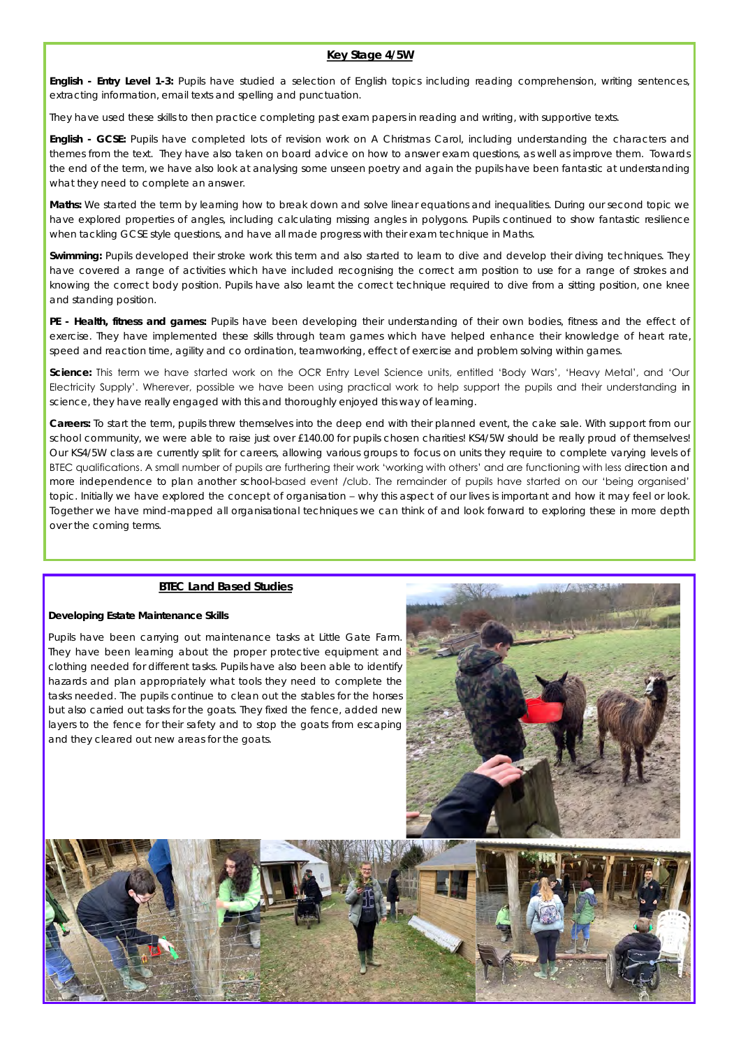#### **Key Stage 4/5W**

**English - Entry Level 1-3:** Pupils have studied a selection of English topics including reading comprehension, writing sentences, extracting information, email texts and spelling and punctuation.

They have used these skills to then practice completing past exam papers in reading and writing, with supportive texts.

**English - GCSE:** Pupils have completed lots of revision work on A Christmas Carol, including understanding the characters and themes from the text. They have also taken on board advice on how to answer exam questions, as well as improve them. Towards the end of the term, we have also look at analysing some unseen poetry and again the pupils have been fantastic at understanding what they need to complete an answer.

**Maths:** We started the term by learning how to break down and solve linear equations and inequalities. During our second topic we have explored properties of angles, including calculating missing angles in polygons. Pupils continued to show fantastic resilience when tackling GCSE style questions, and have all made progress with their exam technique in Maths.

**Swimming:** Pupils developed their stroke work this term and also started to learn to dive and develop their diving techniques. They have covered a range of activities which have included recognising the correct arm position to use for a range of strokes and knowing the correct body position. Pupils have also learnt the correct technique required to dive from a sitting position, one knee and standing position.

**PE - Health, fitness and games:** Pupils have been developing their understanding of their own bodies, fitness and the effect of exercise. They have implemented these skills through team games which have helped enhance their knowledge of heart rate, speed and reaction time, agility and co ordination, teamworking, effect of exercise and problem solving within games.

**Science:** This term we have started work on the OCR Entry Level Science units, entitled 'Body Wars', 'Heavy Metal', and 'Our Electricity Supply'. Wherever, possible we have been using practical work to help support the pupils and their understanding in science, they have really engaged with this and thoroughly enjoyed this way of learning.

**Careers:** To start the term, pupils threw themselves into the deep end with their planned event, the cake sale. With support from our school community, we were able to raise just over £140.00 for pupils chosen charities! KS4/5W should be really proud of themselves! Our KS4/5W class are currently split for careers, allowing various groups to focus on units they require to complete varying levels of BTEC qualifications. A small number of pupils are furthering their work 'working with others' and are functioning with less direction and more independence to plan another school-based event /club. The remainder of pupils have started on our 'being organised' topic. Initially we have explored the concept of organisation – why this aspect of our lives is important and how it may feel or look. Together we have mind-mapped all organisational techniques we can think of and look forward to exploring these in more depth over the coming terms.

#### **BTEC Land Based Studies**

#### **Developing Estate Maintenance Skills**

Pupils have been carrying out maintenance tasks at Little Gate Farm. They have been learning about the proper protective equipment and clothing needed for different tasks. Pupils have also been able to identify hazards and plan appropriately what tools they need to complete the tasks needed. The pupils continue to clean out the stables for the horses but also carried out tasks for the goats. They fixed the fence, added new layers to the fence for their safety and to stop the goats from escaping and they cleared out new areas for the goats.



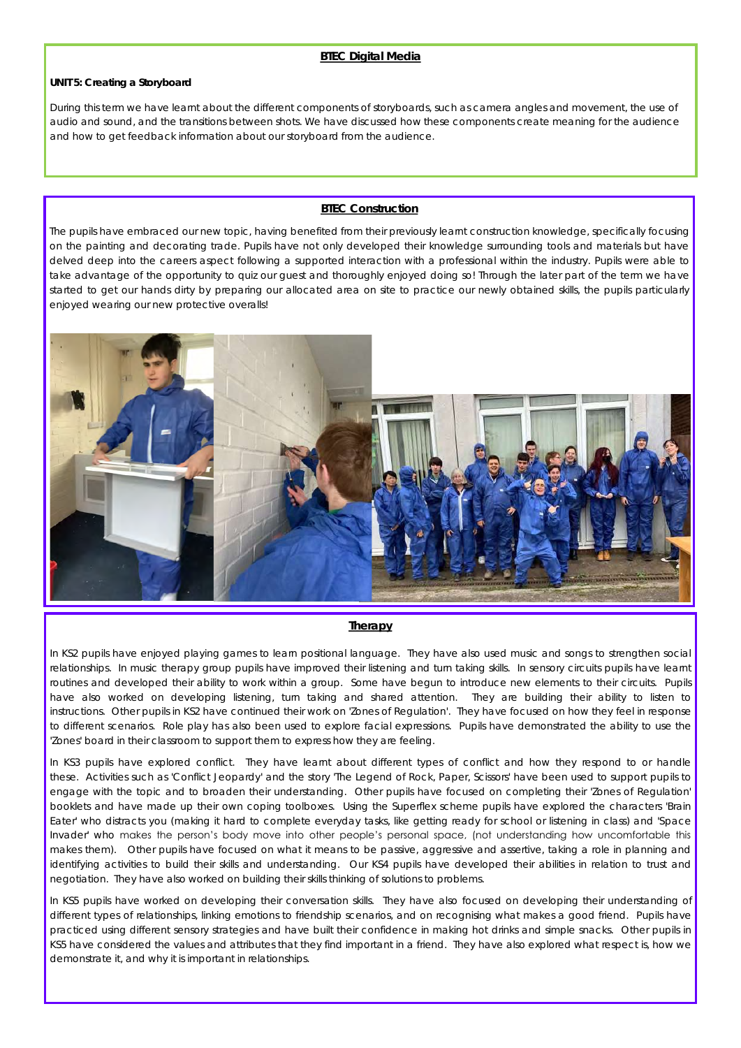#### **BTEC Digital Media**

**UNIT 5: Creating a Storyboard**

During this term we have learnt about the different components of storyboards, such as camera angles and movement, the use of audio and sound, and the transitions between shots. We have discussed how these components create meaning for the audience and how to get feedback information about our storyboard from the audience.

#### **BTEC Construction**

The pupils have embraced our new topic, having benefited from their previously learnt construction knowledge, specifically focusing on the painting and decorating trade. Pupils have not only developed their knowledge surrounding tools and materials but have delved deep into the careers aspect following a supported interaction with a professional within the industry. Pupils were able to take advantage of the opportunity to quiz our guest and thoroughly enjoyed doing so! Through the later part of the term we have started to get our hands dirty by preparing our allocated area on site to practice our newly obtained skills, the pupils particularly enjoyed wearing our new protective overalls!



#### **Therapy**

In KS2 pupils have enjoyed playing games to learn positional language. They have also used music and songs to strengthen social relationships. In music therapy group pupils have improved their listening and turn taking skills. In sensory circuits pupils have learnt routines and developed their ability to work within a group. Some have begun to introduce new elements to their circuits. Pupils have also worked on developing listening, turn taking and shared attention. They are building their ability to listen to instructions. Other pupils in KS2 have continued their work on 'Zones of Regulation'. They have focused on how they feel in response to different scenarios. Role play has also been used to explore facial expressions. Pupils have demonstrated the ability to use the 'Zones' board in their classroom to support them to express how they are feeling.

In KS3 pupils have explored conflict. They have learnt about different types of conflict and how they respond to or handle these. Activities such as 'Conflict Jeopardy' and the story 'The Legend of Rock, Paper, Scissors' have been used to support pupils to engage with the topic and to broaden their understanding. Other pupils have focused on completing their 'Zones of Regulation' booklets and have made up their own coping toolboxes. Using the Superflex scheme pupils have explored the characters 'Brain Eater' who distracts you (making it hard to complete everyday tasks, like getting ready for school or listening in class) and 'Space Invader' who makes the person's body move into other people's personal space, (not understanding how uncomfortable this makes them). Other pupils have focused on what it means to be passive, aggressive and assertive, taking a role in planning and identifying activities to build their skills and understanding. Our KS4 pupils have developed their abilities in relation to trust and negotiation. They have also worked on building their skills thinking of solutions to problems.

In KS5 pupils have worked on developing their conversation skills. They have also focused on developing their understanding of different types of relationships, linking emotions to friendship scenarios, and on recognising what makes a good friend. Pupils have practiced using different sensory strategies and have built their confidence in making hot drinks and simple snacks. Other pupils in KS5 have considered the values and attributes that they find important in a friend. They have also explored what respect is, how we demonstrate it, and why it is important in relationships.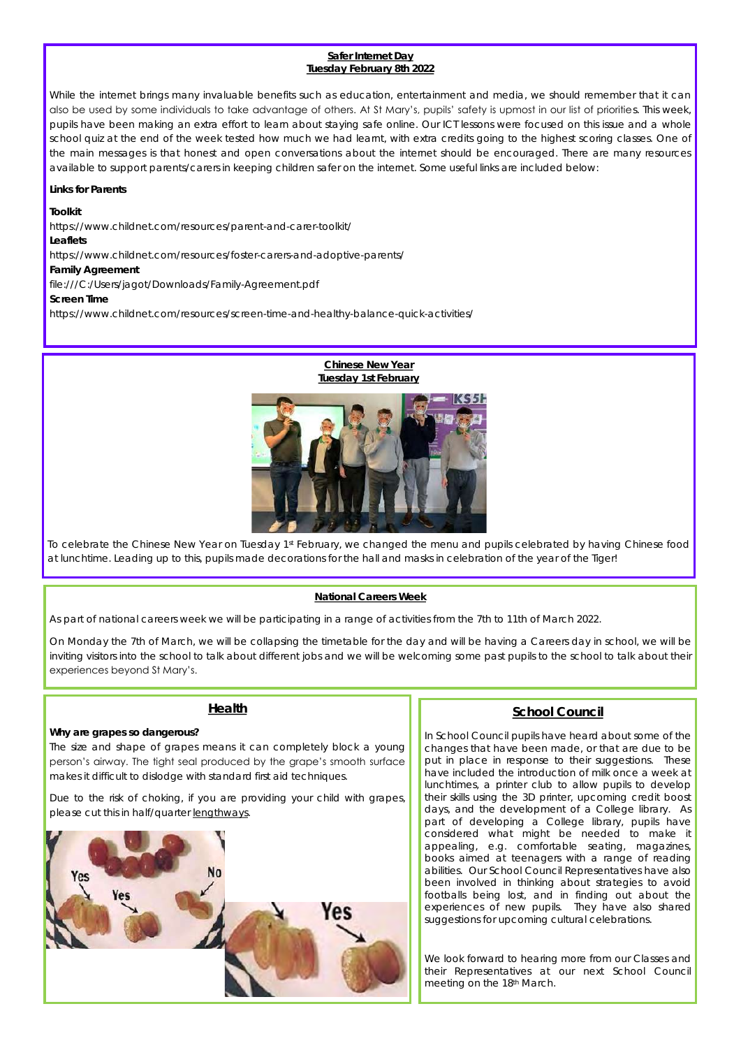#### **Safer Internet Day Tuesday February 8th 2022**

While the internet brings many invaluable benefits such as education, entertainment and media, we should remember that it can also be used by some individuals to take advantage of others. At St Mary's, pupils' safety is upmost in our list of priorities. This week, pupils have been making an extra effort to learn about staying safe online. Our ICT lessons were focused on this issue and a whole school quiz at the end of the week tested how much we had learnt, with extra credits going to the highest scoring classes. One of the main messages is that honest and open conversations about the internet should be encouraged. There are many resources available to support parents/carers in keeping children safer on the internet. Some useful links are included below:

**Links for Parents**

**Toolkit**

https://www.childnet.com/resources/parent-and-carer-toolkit/ **Leaflets** https://www.childnet.com/resources/foster-carers-and-adoptive-parents/ **Family Agreement** file:///C:/Users/jagot/Downloads/Family-Agreement.pdf **Screen Time** https://www.childnet.com/resources/screen-time-and-healthy-balance-quick-activities/



To celebrate the Chinese New Year on Tuesday 1st February, we changed the menu and pupils celebrated by having Chinese food at lunchtime. Leading up to this, pupils made decorations for the hall and masks in celebration of the year of the Tiger!

#### **National Careers Week**

As part of national careers week we will be participating in a range of activities from the 7th to 11th of March 2022.

On Monday the 7th of March, we will be collapsing the timetable for the day and will be having a Careers day in school, we will be inviting visitors into the school to talk about different jobs and we will be welcoming some past pupils to the school to talk about their experiences beyond St Mary's.

#### **Health**

**Why are grapes so dangerous?**

The size and shape of grapes means it can completely block a young person's airway. The tight seal produced by the grape's smooth surface makes it difficult to dislodge with standard first aid techniques.

Due to the risk of choking, if you are providing your child with grapes, please cut this in half/quarter lengthways.



#### **School Council**

In School Council pupils have heard about some of the changes that have been made, or that are due to be put in place in response to their suggestions. These have included the introduction of milk once a week at lunchtimes, a printer club to allow pupils to develop their skills using the 3D printer, upcoming credit boost days, and the development of a College library. As part of developing a College library, pupils have considered what might be needed to make it appealing, e.g. comfortable seating, magazines, books aimed at teenagers with a range of reading abilities. Our School Council Representatives have also been involved in thinking about strategies to avoid footballs being lost, and in finding out about the experiences of new pupils. They have also shared suggestions for upcoming cultural celebrations.

We look forward to hearing more from our Classes and their Representatives at our next School Council meeting on the 18th March.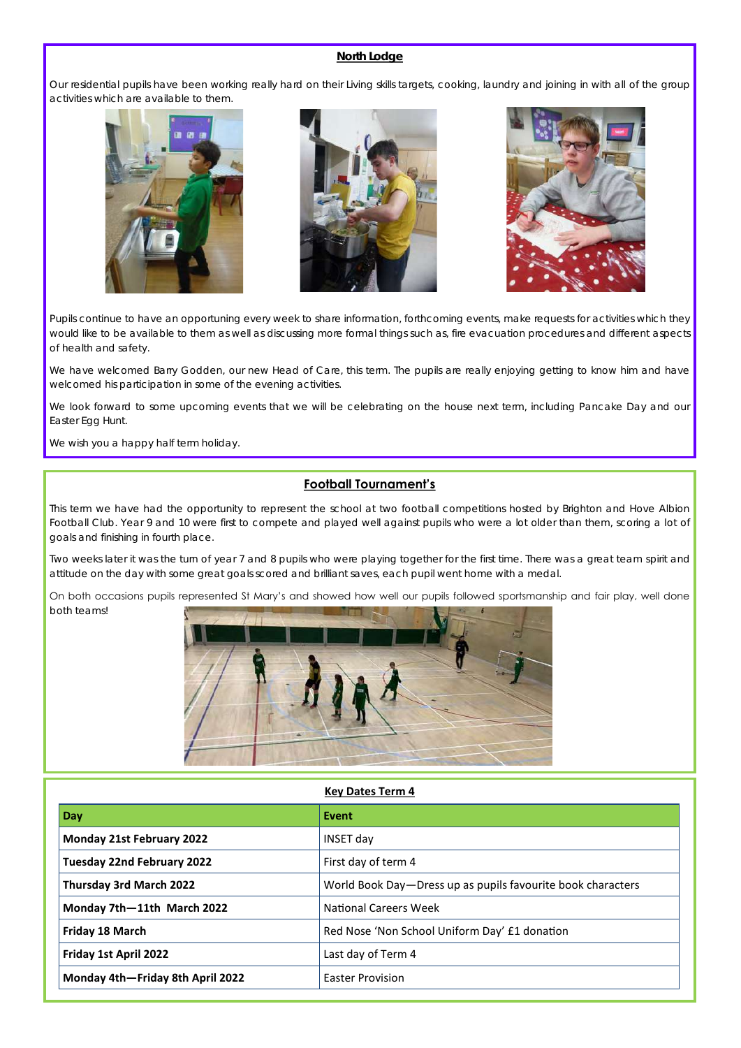#### **North Lodge**

Our residential pupils have been working really hard on their Living skills targets, cooking, laundry and joining in with all of the group activities which are available to them.







Pupils continue to have an opportuning every week to share information, forthcoming events, make requests for activities which they would like to be available to them as well as discussing more formal things such as, fire evacuation procedures and different aspects of health and safety.

We have welcomed Barry Godden, our new Head of Care, this term. The pupils are really enjoying getting to know him and have welcomed his participation in some of the evening activities.

We look forward to some upcoming events that we will be celebrating on the house next term, including Pancake Day and our Easter Egg Hunt.

We wish you a happy half term holiday.

#### **Football Tournament's**

This term we have had the opportunity to represent the school at two football competitions hosted by Brighton and Hove Albion Football Club. Year 9 and 10 were first to compete and played well against pupils who were a lot older than them, scoring a lot of goals and finishing in fourth place.

Two weeks later it was the turn of year 7 and 8 pupils who were playing together for the first time. There was a great team spirit and attitude on the day with some great goals scored and brilliant saves, each pupil went home with a medal.

On both occasions pupils represented St Mary's and showed how well our pupils followed sportsmanship and fair play, well done both teams!



#### **Key Dates Term 4**

| Day                              | <b>Event</b>                                                |
|----------------------------------|-------------------------------------------------------------|
| <b>Monday 21st February 2022</b> | INSET day                                                   |
| Tuesday 22nd February 2022       | First day of term 4                                         |
| Thursday 3rd March 2022          | World Book Day-Dress up as pupils favourite book characters |
| Monday 7th-11th March 2022       | National Careers Week                                       |
| Friday 18 March                  | Red Nose 'Non School Uniform Day' £1 donation               |
| Friday 1st April 2022            | Last day of Term 4                                          |
| Monday 4th-Friday 8th April 2022 | <b>Easter Provision</b>                                     |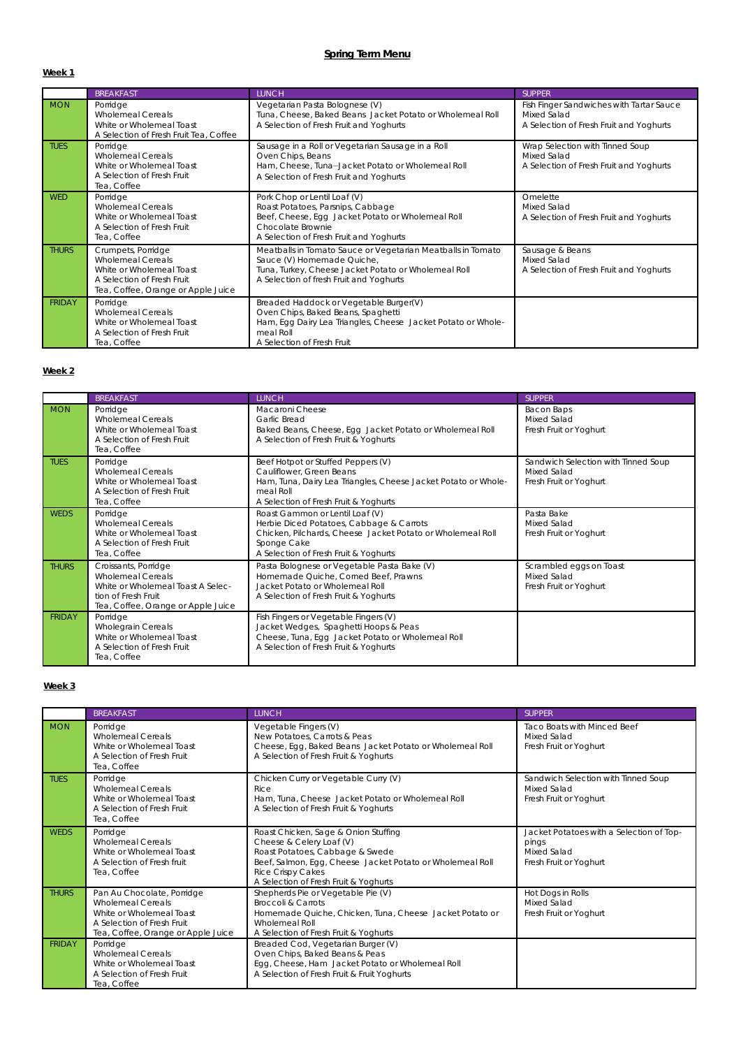**Week 1**

|               | <b>BREAKFAST</b>                                                                                                                               | LUNCH                                                                                                                                                                                        | <b>SUPPER</b>                                                                                      |
|---------------|------------------------------------------------------------------------------------------------------------------------------------------------|----------------------------------------------------------------------------------------------------------------------------------------------------------------------------------------------|----------------------------------------------------------------------------------------------------|
| <b>MON</b>    | Porridge<br><b>Wholemeal Cereals</b><br>White or Wholemeal Toast<br>A Selection of Fresh Fruit Tea, Coffee                                     | Vegetarian Pasta Bolognese (V)<br>Tuna, Cheese, Baked Beans Jacket Potato or Wholemeal Roll<br>A Selection of Fresh Fruit and Yoghurts                                                       | Fish Finger Sandwiches with Tartar Sauce<br>Mixed Salad<br>A Selection of Fresh Fruit and Yoghurts |
| <b>TUES</b>   | Porridge<br><b>Wholemeal Cereals</b><br>White or Wholemeal Toast<br>A Selection of Fresh Fruit<br>Tea. Coffee                                  | Sausage in a Roll or Vegetarian Sausage in a Roll<br>Oven Chips, Beans<br>Ham, Cheese, Tuna-Jacket Potato or Wholemeal Roll<br>A Selection of Fresh Fruit and Yoghurts                       | Wrap Selection with Tinned Soup<br>Mixed Salad<br>A Selection of Fresh Fruit and Yoghurts          |
| <b>WED</b>    | Porridge<br>Wholemeal Cereals<br>White or Wholemeal Toast<br>A Selection of Fresh Fruit<br>Tea. Coffee                                         | Pork Chop or Lentil Loaf (V)<br>Roast Potatoes, Parsnips, Cabbage<br>Beef, Cheese, Egg Jacket Potato or Wholemeal Roll<br>Chocolate Brownie<br>A Selection of Fresh Fruit and Yoghurts       | Omelette<br>Mixed Salad<br>A Selection of Fresh Fruit and Yoghurts                                 |
| <b>THURS</b>  | Crumpets, Porridge<br><b>Wholemeal Cereals</b><br>White or Wholemeal Toast<br>A Selection of Fresh Fruit<br>Tea, Coffee, Orange or Apple Juice | Meatballs in Tomato Sauce or Vegetarian Meatballs in Tomato<br>Sauce (V) Homemade Quiche,<br>Tuna, Turkey, Cheese Jacket Potato or Wholemeal Roll<br>A Selection of fresh Fruit and Yoghurts | Sausage & Beans<br>Mixed Salad<br>A Selection of Fresh Fruit and Yoghurts                          |
| <b>FRIDAY</b> | Porridge<br><b>Wholemeal Cereals</b><br>White or Wholemeal Toast<br>A Selection of Fresh Fruit<br>Tea, Coffee                                  | Breaded Haddock or Vegetable Burger(V)<br>Oven Chips, Baked Beans, Spaghetti<br>Ham, Egg Dairy Lea Triangles, Cheese Jacket Potato or Whole-<br>meal Roll<br>A Selection of Fresh Fruit      |                                                                                                    |

#### **Week 2**

|               | <b>BREAKFAST</b>                                                                                                                                   | LUNCH                                                                                                                                                                                             | <b>SUPPER</b>                                                                |
|---------------|----------------------------------------------------------------------------------------------------------------------------------------------------|---------------------------------------------------------------------------------------------------------------------------------------------------------------------------------------------------|------------------------------------------------------------------------------|
| <b>MON</b>    | Porridge<br><b>Wholemeal Cereals</b><br>White or Wholemeal Toast<br>A Selection of Fresh Fruit<br>Tea, Coffee                                      | Macaroni Cheese<br>Garlic Bread<br>Baked Beans, Cheese, Egg Jacket Potato or Wholemeal Roll<br>A Selection of Fresh Fruit & Yoghurts                                                              | Bacon Baps<br>Mixed Salad<br>Fresh Fruit or Yoghurt                          |
| <b>TUES</b>   | Porridge<br><b>Wholemeal Cereals</b><br>White or Wholemeal Toast<br>A Selection of Fresh Fruit<br>Tea, Coffee                                      | Beef Hotpot or Stuffed Peppers (V)<br>Cauliflower, Green Beans<br>Ham, Tuna, Dairy Lea Triangles, Cheese Jacket Potato or Whole-<br>meal Roll<br>A Selection of Fresh Fruit & Yoghurts            | Sandwich Selection with Tinned Soup<br>Mixed Salad<br>Fresh Fruit or Yoghurt |
| <b>WEDS</b>   | Porridge<br><b>Wholemeal Cereals</b><br>White or Wholemeal Toast<br>A Selection of Fresh Fruit<br>Tea, Coffee                                      | Roast Gammon or Lentil Loaf (V)<br>Herbie Diced Potatoes, Cabbage & Carrots<br>Chicken, Pilchards, Cheese Jacket Potato or Wholemeal Roll<br>Sponge Cake<br>A Selection of Fresh Fruit & Yoghurts | Pasta Bake<br>Mixed Salad<br>Fresh Fruit or Yoghurt                          |
| <b>THURS</b>  | Croissants, Porridge<br><b>Wholemeal Cereals</b><br>White or Wholemeal Toast A Selec-<br>tion of Fresh Fruit<br>Tea, Coffee, Orange or Apple Juice | Pasta Bolognese or Vegetable Pasta Bake (V)<br>Homemade Quiche, Corned Beef, Prawns<br>Jacket Potato or Wholemeal Roll<br>A Selection of Fresh Fruit & Yoghurts                                   | Scrambled eggs on Toast<br>Mixed Salad<br>Fresh Fruit or Yoghurt             |
| <b>FRIDAY</b> | Porridge<br>Wholegrain Cereals<br>White or Wholemeal Toast<br>A Selection of Fresh Fruit<br>Tea, Coffee                                            | Fish Fingers or Vegetable Fingers (V)<br>Jacket Wedges, Spaghetti Hoops & Peas<br>Cheese, Tuna, Egg Jacket Potato or Wholemeal Roll<br>A Selection of Fresh Fruit & Yoghurts                      |                                                                              |

#### **Week 3**

|               | <b>BREAKFAST</b>                                                                                                                                       | <b>LUNCH</b>                                                                                                                                                                                                                   | <b>SUPPER</b>                                                                              |
|---------------|--------------------------------------------------------------------------------------------------------------------------------------------------------|--------------------------------------------------------------------------------------------------------------------------------------------------------------------------------------------------------------------------------|--------------------------------------------------------------------------------------------|
| <b>MON</b>    | Porridge<br><b>Wholemeal Cereals</b><br>White or Wholemeal Toast<br>A Selection of Fresh Fruit<br>Tea. Coffee                                          | Vegetable Fingers (V)<br>New Potatoes, Carrots & Peas<br>Cheese, Egg, Baked Beans Jacket Potato or Wholemeal Roll<br>A Selection of Fresh Fruit & Yoghurts                                                                     | Taco Boats with Minced Beef<br>Mixed Salad<br>Fresh Fruit or Yoghurt                       |
| <b>TUES</b>   | Porridge<br><b>Wholemeal Cereals</b><br>White or Wholemeal Toast<br>A Selection of Fresh Fruit<br>Tea. Coffee                                          | Chicken Curry or Vegetable Curry (V)<br><b>Rice</b><br>Ham, Tuna, Cheese Jacket Potato or Wholemeal Roll<br>A Selection of Fresh Fruit & Yoghurts                                                                              | Sandwich Selection with Tinned Soup<br>Mixed Salad<br>Fresh Fruit or Yoghurt               |
| <b>WEDS</b>   | Porridge<br><b>Wholemeal Cereals</b><br>White or Wholemeal Toast<br>A Selection of Fresh fruit<br>Tea, Coffee                                          | Roast Chicken, Sage & Onion Stuffing<br>Cheese & Celery Loaf (V)<br>Roast Potatoes, Cabbage & Swede<br>Beef, Salmon, Egg, Cheese Jacket Potato or Wholemeal Roll<br>Rice Crispy Cakes<br>A Selection of Fresh Fruit & Yoghurts | Jacket Potatoes with a Selection of Top-<br>pings<br>Mixed Salad<br>Fresh Fruit or Yoghurt |
| <b>THURS</b>  | Pan Au Chocolate, Porridge<br><b>Wholemeal Cereals</b><br>White or Wholemeal Toast<br>A Selection of Fresh Fruit<br>Tea, Coffee, Orange or Apple Juice | Shepherds Pie or Vegetable Pie (V)<br><b>Broccoli &amp; Carrots</b><br>Homemade Quiche, Chicken, Tuna, Cheese Jacket Potato or<br>Wholemeal Roll<br>A Selection of Fresh Fruit & Yoghurts                                      | Hot Dogs in Rolls<br>Mixed Salad<br>Fresh Fruit or Yoghurt                                 |
| <b>FRIDAY</b> | Porridge<br><b>Wholemeal Cereals</b><br>White or Wholemeal Toast<br>A Selection of Fresh Fruit<br>Tea. Coffee                                          | Breaded Cod, Vegetarian Burger (V)<br>Oven Chips, Baked Beans & Peas<br>Egg, Cheese, Ham Jacket Potato or Wholemeal Roll<br>A Selection of Fresh Fruit & Fruit Yoghurts                                                        |                                                                                            |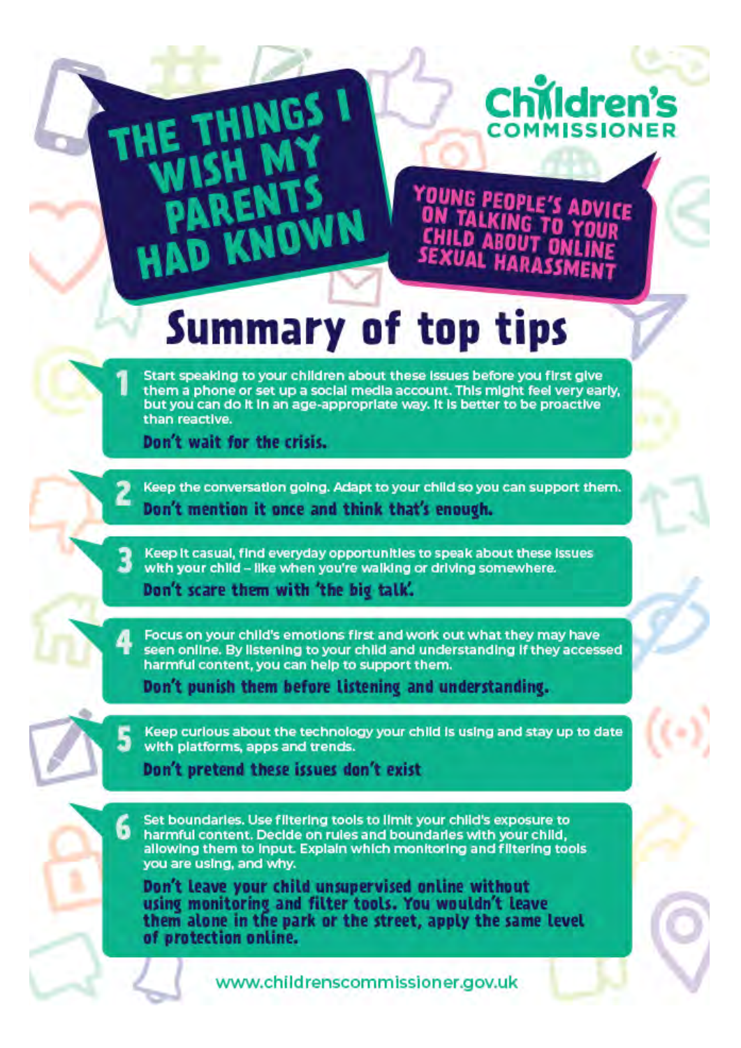# Childre

YOUNG PEOP DVICE **SEXUAL HAR** 

## **Summary of top tips**

Start speaking to your children about these issues before you first give them a phone or set up a social media account. This might feel very early. but you can do it in an age-appropriate way. It is better to be proactive than reactive.

Don't wait for the crisis.

**HING** 

**D KNOWN** 

Keep the conversation going. Adapt to your child so you can support them. Don't mention it once and think that's enough.

Keep It casual, find everyday opportunities to speak about these issues with your child - like when you're walking or driving somewhere. Don't scare them with 'the big talk'.

Focus on your child's emotions first and work out what they may have seen online. By listening to your child and understanding if they accessed harmful content, you can help to support them.

Don't punish them before listening and understanding.

Keep curious about the technology your child is using and stay up to date with platforms, apps and trends.

Don't pretend these issues don't exist

Set boundaries. Use filtering tools to limit your child's exposure to 6 harmful content. Decide on rules and boundaries with your child. allowing them to input. Explain which monitoring and filtering tools you are using, and why.

Don't leave your child unsupervised online without using monitoring and filter tools. You wouldn't leave them alone in the park or the street, apply the same level of protection online.

www.childrenscommissioner.gov.uk